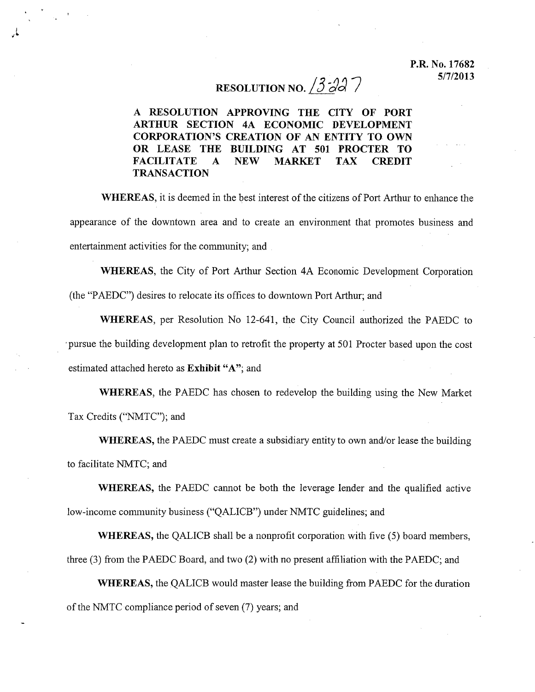## **RESOLUTION NO.**  $3 - 3 - 7$

A **RESOLUTION APPROVING THE CITY OF PORT ARTHUR SECTION 4A ECONOMIC DEVELOPMENT CORPORATION'S CREATION OF AN ENTITY TO OWN OR LEASE THE BUILDING AT 501 PROCTER TO FACILITATE A NEW MARKET TAX CREDIT TRANSACTION**

**WHEREAS,** it is deemed in the best interest of the citizens of Port Arthur to enhance the appearance of the downtown area and to create an environment that promotes business and entertainment activities for the community; and

**WHEREAS,** the City of Port Arthur Section 4A Economic Development Corporation (the "PAEDC") desires to relocate its offices to downtown Port Arthur; and

**WHEREAS,** per Resolution No 12-641, the City Council authorized the PAEDC to 'pursue the building development plan to retrofit the property at 501 Procter based upon the cost estimated attached hereto as **Exhibit** "A"; and

**WHEREAS,** the PAEDC has chosen to redevelop the building using the New Market Tax Credits ("NMTC"); and

**WHEREAS,** the PAEDC must create a subsidiary entity to own and/or lease the building to facilitate NMTC; and

**WHEREAS,** the PAEDC cannot be both the leverage lender and the qualified active low-income community business ("QALICB") under NMTC guidelines; and

**WHEREAS,** the QALICB shall be a nonprofit corporation with five (5) board members, three (3) from the PAEDC Board, and two (2) with no present affiliation with the PAEDC; and

**WHEREAS,** the QALICB would master lease the building from PAEDC for the duration of the NMTC compliance period of seven  $(7)$  years; and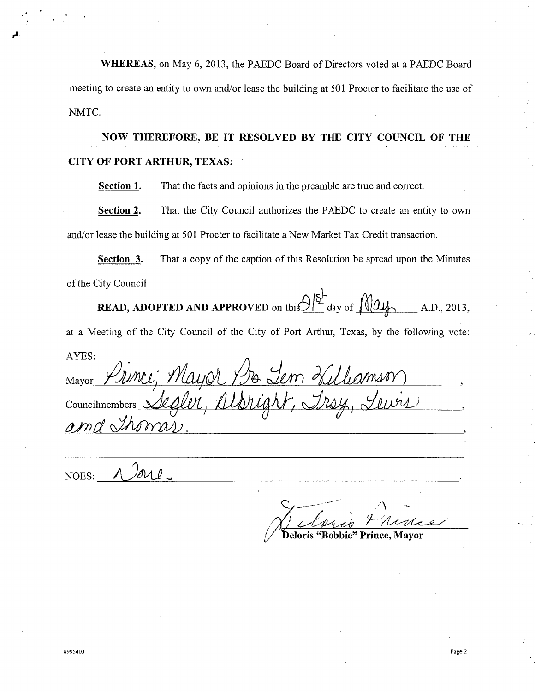**WHEREAS,** on May 6,2013, the PAEDC Board of Directors voted at a PAEDC Board meeting to create an entity to own and/or lease the building at 501 Procter to facilitate the use of NMTC.

**NOW THEREFORE, BE IT RESOLVED BY THE CITY COUNCIL OF THE CITY OF PORT ARTHUR, TEXAS:**

**Section 1.** That the facts and opinions in the preamble are true and correct.

**Section 2.** That the City Council authorizes the PAEDC to create an entity to own and/or lease the building at 501 Procter to facilitate a New Market Tax Credit transaction.

**Section 3.** That a copy of the caption of this Resolution be spread upon the Minutes of the City Council.

**READ, ADOPTED AND APPROVED** on this  $\frac{\partial}{\partial r}$  day of  $\frac{\partial}{\partial u}$  A.D., 2013,

at a Meeting of the City Council of the City of Port Arthur, Texas, by the following vote: AYES:

Mayor *yJiYttu; <sup>~</sup> ~:dun ~*  $C$ ouncilmembers albright, Irsy, Lewis *IVnd~.*

Гол р NOES:

 $\mathcal{C}$  $\mathcal{L} \equiv 1$ 

*/ dPAt.A'~ Y',/{A--f~/ t* **Deloris "Bobbie" Prince, Mayor**

,.t.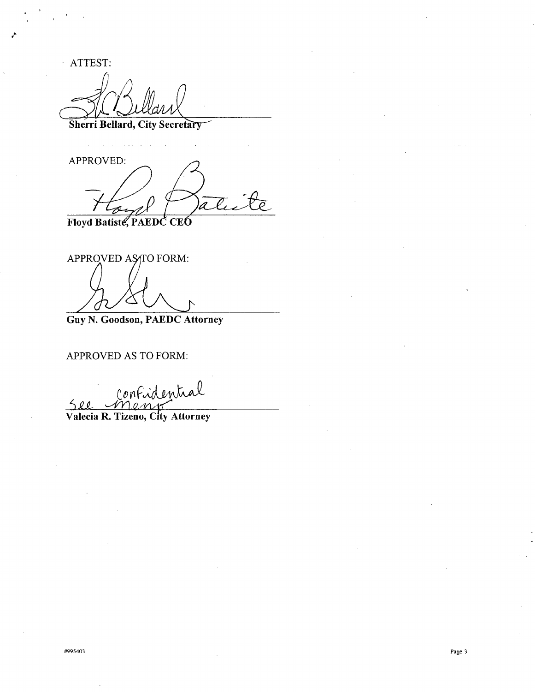ATTEST:

 $\hat{\boldsymbol{\beta}}$ 

**Sherri Bellard, City Secretar**

APPROVED:  $\mathcal{L}_{-}$ a . Floyd Batiste, PAEDC CEO

APPROVED AS TO FORM:

**Guy N. Goodson, PAEDC Attorney**

APPROVED AS TO FORM:

 $\ell$ on SU *'-d11,QA1~ \_*

**Valeda R. Tizeno, City Attorney**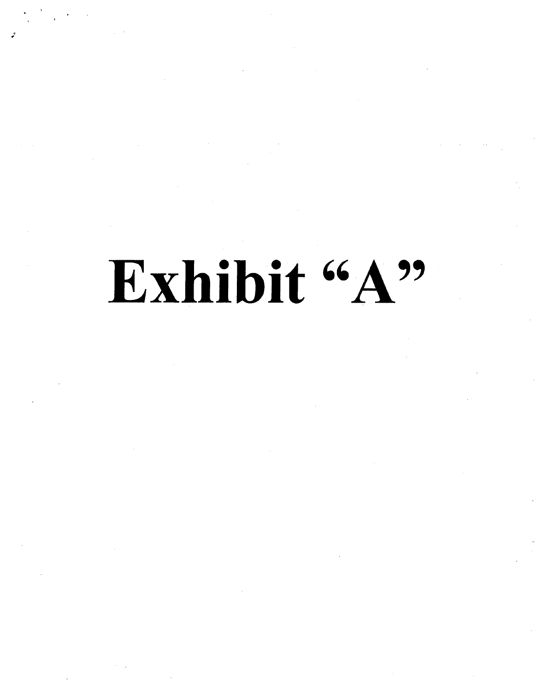## Exhibit "A"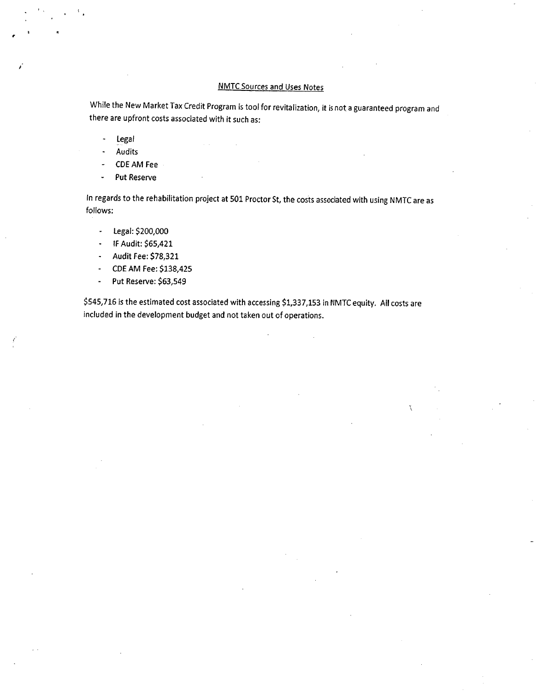## NMTC Sources and Uses Notes

While the New Market Tax Credit Program is *tool* for revitalization, it isnot a guaranteed program and there are upfront costs associated with it such as:

- legal  $\ddot{\phantom{a}}$
- Audits
- CDE AM Fee
- Put Reserve

In regards to the rehabilitation project at 501 Proctor *St,* the costs associated with using NMTC are as follows:

- legal: \$200,000  $\downarrow$
- IFAudit: \$65,421  $\omega$  .
- Audit Fee: \$78,321  $\sim$
- CDEAM Fee: \$138,425  $\sim$
- Put Reserve: \$63,549  $\mathbf{r}$

\$545,716 is the estimated cost associated with accessing \$1,337,153 in NMTC equity. All costs are included in the development budget and not taken out of operations.

 $\mathcal{L}$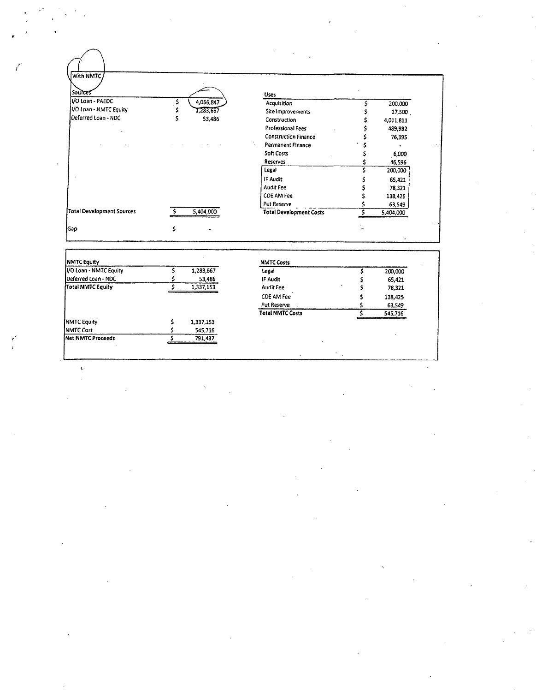| Sources                   |           | <b>Uses</b>                    |           |
|---------------------------|-----------|--------------------------------|-----------|
| I/O Loan - PAEDC          | 4,066,847 | Acquisition                    | 200,000   |
| I/O Loan - NMTC Equity    | 1,283,667 | Site Improvements              | 27,500    |
| Deferred Loan - NDC       | 53,486    | Construction                   | 4,011,811 |
|                           |           | <b>Professional Fees</b>       | 489,982   |
|                           |           | <b>Construction Finance</b>    | 76,395    |
|                           |           | Permanent Finance              |           |
|                           |           | Soft Costs                     | ,6,000    |
|                           |           | Reserves                       | 46,596    |
|                           |           | Legal                          | 200,000   |
|                           |           | IF Audit                       | 65,421    |
|                           |           | <b>Audit Fee</b>               | 78,321    |
|                           |           | <b>CDE AM Fee</b>              | 138,425   |
|                           |           | Put Reserve                    | 63,549    |
| Total Development Sources | 5,404,000 | <b>Total Development Costs</b> | 5,404,000 |

| NMTC Equity             |           | <b>NMTC Costs</b>       |         |
|-------------------------|-----------|-------------------------|---------|
| II/O Loan - NMTC Equity | 1,283,667 | Legal                   | 200,000 |
| Deferred Loan - NDC     | 53,486    | IF Audit                | 65,421  |
| Total NMTC Equity       | 1,337,153 | Audit Fee               | 78,321  |
|                         |           | CDE AM Fee              | 138,425 |
|                         |           | Put Reserve             | 63,549  |
|                         |           | <b>Total NMTC Costs</b> | 545,716 |
| <b>INMTC Equity</b>     | 1,337,153 |                         |         |
| <b>NMTC Cost</b>        | 545,716   |                         |         |
| Net NMTC Proceeds       | 791,437   |                         |         |

 $\hat{\mathbf{c}}$ 

 $\frac{1}{2} \sum_{i=1}^{n} \frac{1}{i} \sum_{j=1}^{n} \frac{1}{j} \sum_{j=1}^{n} \frac{1}{j} \sum_{j=1}^{n} \frac{1}{j} \sum_{j=1}^{n} \frac{1}{j} \sum_{j=1}^{n} \frac{1}{j} \sum_{j=1}^{n} \frac{1}{j} \sum_{j=1}^{n} \frac{1}{j} \sum_{j=1}^{n} \frac{1}{j} \sum_{j=1}^{n} \frac{1}{j} \sum_{j=1}^{n} \frac{1}{j} \sum_{j=1}^{n} \frac{1}{j} \sum_{j=1}^{n$ 

 $\hat{\ell}$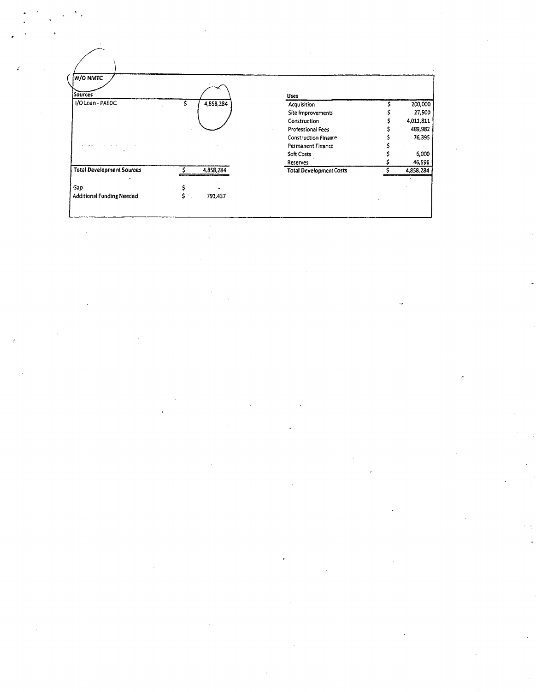| W/O NMTC<br><b>Sources</b>       |   |           | Uses                           |           |
|----------------------------------|---|-----------|--------------------------------|-----------|
| I/O Loan - PAEDC                 | S | 4,858,284 | Acquisition                    | 200,000   |
|                                  |   |           | Site Improvements              | 27,500    |
|                                  |   |           | Construction                   | 4,011,811 |
|                                  |   |           | Professional Fees              | 489,982   |
|                                  |   |           | <b>Construction Finance</b>    | 76,395    |
|                                  |   |           | Permanent Finance              |           |
|                                  |   |           | <b>Soft Costs</b>              | 6,000     |
|                                  |   |           | Reserves                       | 46,596    |
| <b>Total Development Sources</b> |   | 4,858,284 | <b>Total Development Costs</b> | 4,858,284 |
| Gap                              |   |           |                                |           |
| Additional Funding Needed        |   | 791,437   |                                |           |

 $\label{eq:2} \frac{1}{\sqrt{2}}\sum_{i=1}^n\frac{1}{\sqrt{2}}\sum_{j=1}^n\frac{1}{j!}\sum_{j=1}^n\frac{1}{j!}\sum_{j=1}^n\frac{1}{j!}\sum_{j=1}^n\frac{1}{j!}\sum_{j=1}^n\frac{1}{j!}\sum_{j=1}^n\frac{1}{j!}\sum_{j=1}^n\frac{1}{j!}\sum_{j=1}^n\frac{1}{j!}\sum_{j=1}^n\frac{1}{j!}\sum_{j=1}^n\frac{1}{j!}\sum_{j=1}^n\frac{1}{j!}\sum_{j=1}^$ 

 $\label{eq:2} \frac{1}{\sqrt{2}}\sum_{i=1}^n\frac{1}{\sqrt{2}}\sum_{j=1}^n\frac{1}{j!}\sum_{j=1}^n\frac{1}{j!}\sum_{j=1}^n\frac{1}{j!}\sum_{j=1}^n\frac{1}{j!}\sum_{j=1}^n\frac{1}{j!}\sum_{j=1}^n\frac{1}{j!}\sum_{j=1}^n\frac{1}{j!}\sum_{j=1}^n\frac{1}{j!}\sum_{j=1}^n\frac{1}{j!}\sum_{j=1}^n\frac{1}{j!}\sum_{j=1}^n\frac{1}{j!}\sum_{j=1}^$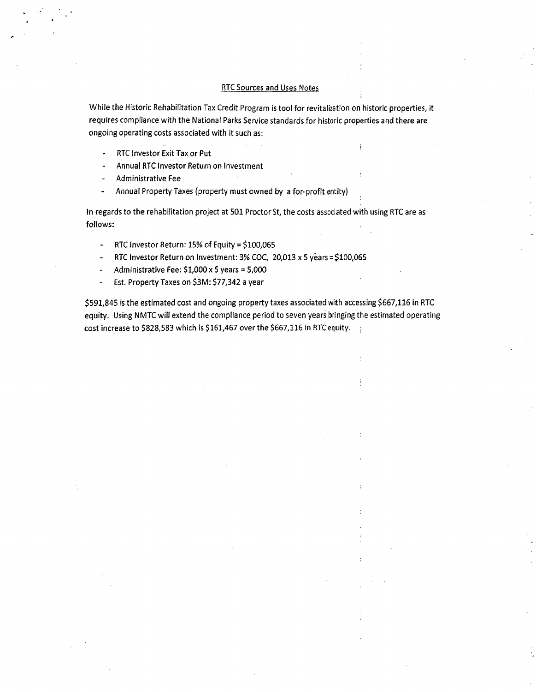## RTCSources and Uses Notes

While the Historic Rehabilitation Tax Credit Program is tool for revitalization on historic properties, it requires compliance with the National Parks Service standards for historic properties and there are ongoing operating costs associated with it such as:

- RTCInvestor Exit Tax or Put
- Annual RTCInvestor Return on Investment
- Administrative Fee
- Annual Property Taxes (property must owned by a for-profit entity)

In regards to the rehabilitation project at 501 Proctor St, the costs associated with using RTC are as follows:

- RTC Investor Return:  $15%$  of Equity = \$100,065
- RTC Investor Return on Investment: 3% COC, 20,013 x 5 years = \$100,065
- Administrative Fee: \$1,000 x 5 years = 5,000  $\blacksquare$
- Est. Property Taxes on \$3M: \$77,342 a year  $\overline{a}$

\$591,845 is the estimated cost and ongoing property taxes associated with accessing \$667,116 in RTC equity. Using NMTC will extend the compliance period to seven years bringing the estimated operating cost increase to \$828,583 which is \$161,467 over the \$667,116 in RTC equity.  $\frac{1}{2}$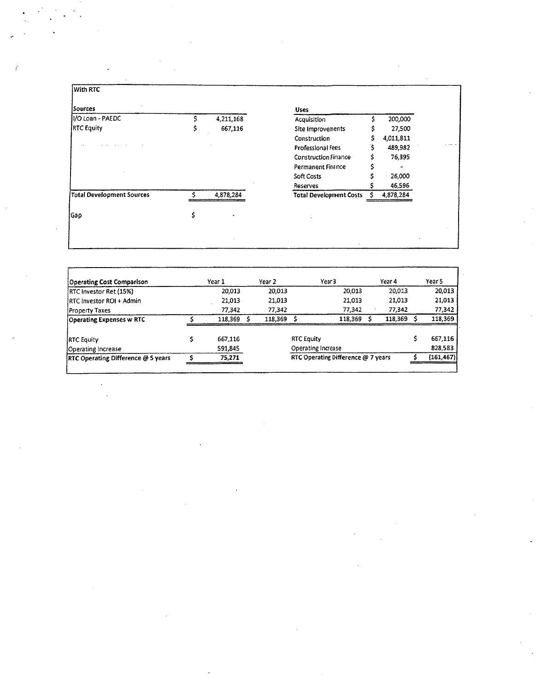| Sources<br><b>Uses</b>                            |                                             |
|---------------------------------------------------|---------------------------------------------|
| II/O Loan - PAEDC<br>4,211,168<br>Acquisition     | 200,000                                     |
| <b>RTC Equity</b><br>667,116<br>Site Improvements | 27,500                                      |
| Construction                                      | 4,011,811                                   |
| Professional Fees                                 | 489,982                                     |
| Construction Finance                              | 76,395                                      |
| Permanent Finance                                 |                                             |
| Soft Costs                                        | 26,000                                      |
| Reserves                                          | 46,596                                      |
| Total Development Sources<br>4,878,284            | 4,878,284<br><b>Total Development Costs</b> |
|                                                   |                                             |
| Gap                                               |                                             |

{

 $\label{eq:2.1} \frac{1}{\sqrt{2}}\sum_{i=1}^n\frac{1}{\sqrt{2}}\sum_{i=1}^n\frac{1}{\sqrt{2}}\sum_{i=1}^n\frac{1}{\sqrt{2}}\sum_{i=1}^n\frac{1}{\sqrt{2}}\sum_{i=1}^n\frac{1}{\sqrt{2}}\sum_{i=1}^n\frac{1}{\sqrt{2}}\sum_{i=1}^n\frac{1}{\sqrt{2}}\sum_{i=1}^n\frac{1}{\sqrt{2}}\sum_{i=1}^n\frac{1}{\sqrt{2}}\sum_{i=1}^n\frac{1}{\sqrt{2}}\sum_{i=1}^n\frac$ 

 $\sim$ 

 $\sim$ 

| Year 3             | Year 4  |                                    | Year 5     |
|--------------------|---------|------------------------------------|------------|
| 20,013             | 20,013  |                                    | 20,013     |
| 21,013             | 21.013  |                                    | 21,013     |
| 77,342             | 77,342  |                                    | 77,342     |
| 118.369            | 118,369 |                                    | 118,369    |
| <b>RTC Equity</b>  |         |                                    | 667,116    |
| Operating Increase |         |                                    | 828,583    |
|                    |         |                                    | (161, 467) |
|                    |         | RTC Operating Difference @ 7 years |            |

 $\hat{\boldsymbol{\epsilon}}$